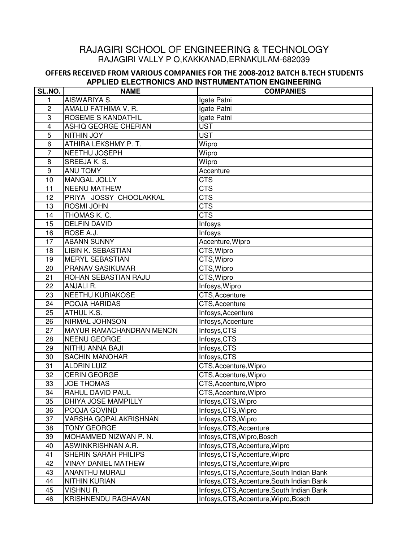# RAJAGIRI SCHOOL OF ENGINEERING & TECHNOLOGY RAJAGIRI VALLY P O,KAKKANAD,ERNAKULAM-682039

#### **OFFERS RECEIVED FROM VARIOUS COMPANIES FOR THE 2008-2012 BATCH B.TECH STUDENTS APPLIED ELECTRONICS AND INSTRUMENTATION ENGINEERING**

| SL.NO.          | <b>NAME</b>                | <b>COMPANIES</b>                           |
|-----------------|----------------------------|--------------------------------------------|
| 1               | AISWARIYA S.               | Igate Patni                                |
| $\overline{c}$  | AMALU FATHIMA V. R.        | Igate Patni                                |
| 3               | ROSEME S KANDATHIL         | Igate Patni                                |
| 4               | ASHIQ GEORGE CHERIAN       | <b>UST</b>                                 |
| 5               | <b>NITHIN JOY</b>          | <b>UST</b>                                 |
| 6               | ATHIRA LEKSHMY P. T.       | Wipro                                      |
| $\overline{7}$  | NEETHU JOSEPH              | Wipro                                      |
| 8               | SREEJA K. S.               | Wipro                                      |
| 9               | <b>ANU TOMY</b>            | Accenture                                  |
| 10              | <b>MANGAL JOLLY</b>        | <b>CTS</b>                                 |
| 11              | <b>NEENU MATHEW</b>        | <b>CTS</b>                                 |
| 12              | PRIYA JOSSY CHOOLAKKAL     | <b>CTS</b>                                 |
| 13              | ROSMI JOHN                 | <b>CTS</b>                                 |
| 14              | THOMAS K. C.               | <b>CTS</b>                                 |
| 15              | <b>DELFIN DAVID</b>        | Infosys                                    |
| 16              | ROSE A.J.                  | Infosys                                    |
| 17              | <b>ABANN SUNNY</b>         | Accenture, Wipro                           |
| 18              | <b>LIBIN K. SEBASTIAN</b>  | CTS, Wipro                                 |
| 19              | <b>MERYL SEBASTIAN</b>     | CTS, Wipro                                 |
| 20              | <b>PRANAV SASIKUMAR</b>    | CTS, Wipro                                 |
| 21              | ROHAN SEBASTIAN RAJU       | $\overline{\text{CT}}$ S, Wipro            |
| 22              | ANJALI R.                  | Infosys, Wipro                             |
| 23              | <b>NEETHU KURIAKOSE</b>    | CTS, Accenture                             |
| 24              | POOJA HARIDAS              | CTS, Accenture                             |
| 25              | ATHUL K.S.                 | Infosys, Accenture                         |
| 26              | NIRMAL JOHNSON             | Infosys, Accenture                         |
| 27              | MAYUR RAMACHANDRAN MENON   | Infosys, CTS                               |
| 28              | <b>NEENU GEORGE</b>        | Infosys, CTS                               |
| 29              | NITHU ANNA BAJI            | Infosys, CTS                               |
| 30              | <b>SACHIN MANOHAR</b>      | Infosys, CTS                               |
| 31              | <b>ALDRIN LUIZ</b>         | CTS, Accenture, Wipro                      |
| 32              | <b>CERIN GEORGE</b>        | CTS, Accenture, Wipro                      |
| 33              | <b>JOE THOMAS</b>          | CTS, Accenture, Wipro                      |
| $\overline{34}$ | RAHUL DAVID PAUL           | CTS, Accenture, Wipro                      |
| 35              | DHIYA JOSE MAMPILLY        | Infosys, CTS, Wipro                        |
| 36              | POOJA GOVIND               | Infosys, CTS, Wipro                        |
| 37              | VARSHA GOPALAKRISHNAN      | Infosys, CTS, Wipro                        |
| 38              | TONY GEORGE                | Infosys, CTS, Accenture                    |
| 39              | MOHAMMED NIZWAN P.N.       | Infosys, CTS, Wipro, Bosch                 |
| 40              | ASWINKRISHNAN A.R.         | Infosys, CTS, Accenture, Wipro             |
| 41              | SHERIN SARAH PHILIPS       | Infosys, CTS, Accenture, Wipro             |
| 42              | <b>VINAY DANIEL MATHEW</b> | Infosys, CTS, Accenture, Wipro             |
| 43              | <b>ANANTHU MURALI</b>      | Infosys, CTS, Accenture, South Indian Bank |
| 44              | <b>NITHIN KURIAN</b>       | Infosys, CTS, Accenture, South Indian Bank |
| 45              | VISHNU R.                  | Infosys, CTS, Accenture, South Indian Bank |
| 46              | <b>KRISHNENDU RAGHAVAN</b> | Infosys, CTS, Accenture, Wipro, Bosch      |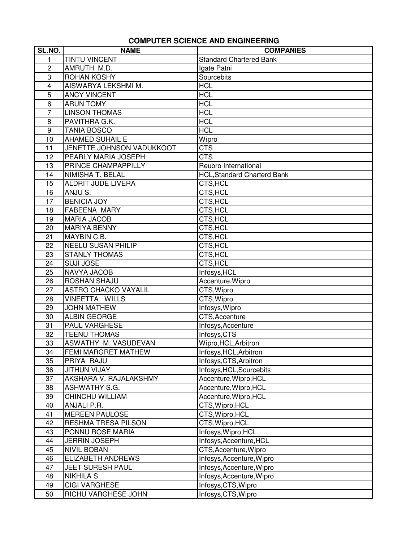### **COMPUTER SCIENCE AND ENGINEERING**

| SL.NO.         | <b>NAME</b>                 | <b>COMPANIES</b>                   |
|----------------|-----------------------------|------------------------------------|
| 1              | <b>TINTU VINCENT</b>        | <b>Standard Chartered Bank</b>     |
| $\overline{c}$ | AMRUTH M.D.                 | Igate Patni                        |
| 3              | <b>ROHAN KOSHY</b>          | Sourcebits                         |
| 4              | AISWARYA LEKSHMI M.         | <b>HCL</b>                         |
| 5              | <b>ANCY VINCENT</b>         | <b>HCL</b>                         |
| 6              | <b>ARUN TOMY</b>            | <b>HCL</b>                         |
| $\overline{7}$ | <b>LINSON THOMAS</b>        | <b>HCL</b>                         |
| 8              | PAVITHRA G.K.               | <b>HCL</b>                         |
| 9              | <b>TANIA BOSCO</b>          | <b>HCL</b>                         |
| 10             | <b>AHAMED SUHAIL E</b>      | Wipro                              |
| 11             | JENETTE JOHNSON VADUKKOOT   | <b>CTS</b>                         |
| 12             | PEARLY MARIA JOSEPH         | <b>CTS</b>                         |
| 13             | PRINCE CHAMPAPPILLY         | Reubro International               |
| 14             | NIMISHA T. BELAL            | <b>HCL, Standard Charterd Bank</b> |
| 15             | <b>ALDRIT JUDE LIVERA</b>   | CTS, HCL                           |
| 16             | ANJU S.                     | CTS, HCL                           |
| 17             | <b>BENICIA JOY</b>          | CTS, HCL                           |
| 18             | <b>FABEENA MARY</b>         | CTS, HCL                           |
| 19             | <b>MARIA JACOB</b>          | CTS, HCL                           |
| 20             | <b>MARIYA BENNY</b>         | CTS, HCL                           |
| 21             | MAYBIN C.B.                 | CTS, HCL                           |
| 22             | <b>NEELU SUSAN PHILIP</b>   | CTS, HCL                           |
| 23             | <b>STANLY THOMAS</b>        | CTS, HCL                           |
| 24             | <b>SUJI JOSE</b>            | CTS, HCL                           |
| 25             | NAVYA JACOB                 | Infosys, HCL                       |
| 26             | ROSHAN SHAJU                | Accenture, Wipro                   |
| 27             | <b>ASTRO CHACKO VAYALIL</b> | CTS, Wipro                         |
| 28             | VINEETTA WILLS              | CTS, Wipro                         |
| 29             | <b>JOHN MATHEW</b>          | Infosys, Wipro                     |
| 30             | <b>ALBIN GEORGE</b>         | CTS, Accenture                     |
| 31             | <b>PAUL VARGHESE</b>        | Infosys, Accenture                 |
| 32             | <b>TEENU THOMAS</b>         | Infosys, CTS                       |
| 33             | ASWATHY M. VASUDEVAN        | Wipro, HCL, Arbitron               |
| 34             | FEMI MARGRET MATHEW         | Infosys, HCL, Arbitron             |
| 35             | PRIYA RAJU                  | Infosys, CTS, Arbitron             |
| 36             | <b>JITHUN VIJAY</b>         | Infosys, HCL, Sourcebits           |
| 37             | AKSHARA V. RAJALAKSHMY      | Accenture, Wipro, HCL              |
| 38             | ASHWATHY S.G.               | Accenture, Wipro, HCL              |
| 39             | CHINCHU WILLIAM             | Accenture, Wipro, HCL              |
| 40             | ANJALI P.R.                 | CTS, Wipro, HCL                    |
| 41             | <b>MEREEN PAULOSE</b>       | CTS, Wipro, HCL                    |
| 42             | <b>RESHMA TRESA PILSON</b>  | CTS, Wipro, HCL                    |
| 43             | PONNU ROSE MARIA            | Infosys, Wipro, HCL                |
| 44             | <b>JERRIN JOSEPH</b>        | Infosys, Accenture, HCL            |
| 45             | <b>NIVIL BOBAN</b>          | CTS, Accenture, Wipro              |
| 46             | <b>ELIZABETH ANDREWS</b>    | Infosys, Accenture, Wipro          |
| 47             | <b>JEET SURESH PAUL</b>     | Infosys, Accenture, Wipro          |
| 48             | NIKHILA S.                  | Infosys, Accenture, Wipro          |
| 49             | <b>CIGI VARGHESE</b>        | Infosys, CTS, Wipro                |
| 50             | RICHU VARGHESE JOHN         | Infosys, CTS, Wipro                |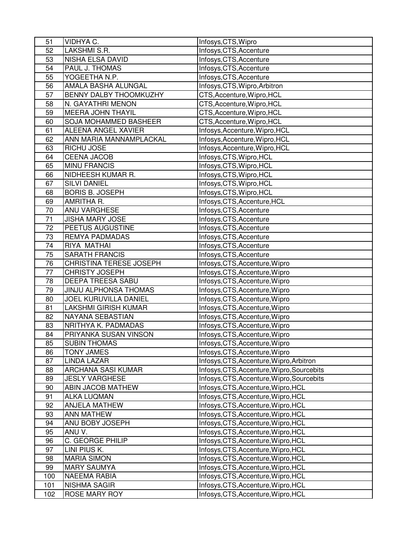| 51  | VIDHYA C.                     | Infosys, CTS, Wipro                        |
|-----|-------------------------------|--------------------------------------------|
| 52  | LAKSHMI S.R.                  | Infosys, CTS, Accenture                    |
| 53  | NISHA ELSA DAVID              | Infosys, CTS, Accenture                    |
| 54  | PAUL J. THOMAS                | Infosys, CTS, Accenture                    |
| 55  | YOGEETHA N.P.                 | Infosys, CTS, Accenture                    |
| 56  | AMALA BASHA ALUNGAL           | Infosys, CTS, Wipro, Arbitron              |
| 57  | <b>BENNY DALBY THOOMKUZHY</b> | CTS, Accenture, Wipro, HCL                 |
| 58  | N. GAYATHRI MENON             | CTS, Accenture, Wipro, HCL                 |
| 59  | <b>MEERA JOHN THAYIL</b>      | CTS, Accenture, Wipro, HCL                 |
| 60  | <b>SOJA MOHAMMED BASHEER</b>  | CTS, Accenture, Wipro, HCL                 |
| 61  | <b>ALEENA ANGEL XAVIER</b>    | Infosys, Accenture, Wipro, HCL             |
| 62  | ANN MARIA MANNAMPLACKAL       | Infosys, Accenture, Wipro, HCL             |
| 63  | RICHU JOSE                    | Infosys, Accenture, Wipro, HCL             |
| 64  | <b>CEENA JACOB</b>            | Infosys, CTS, Wipro, HCL                   |
| 65  | <b>MINU FRANCIS</b>           | Infosys, CTS, Wipro, HCL                   |
| 66  | NIDHEESH KUMAR R.             | Infosys, CTS, Wipro, HCL                   |
| 67  | <b>SILVI DANIEL</b>           | Infosys, CTS, Wipro, HCL                   |
| 68  | <b>BORIS B. JOSEPH</b>        | Infosys, CTS, Wipro, HCL                   |
| 69  | AMRITHA R.                    | Infosys, CTS, Accenture, HCL               |
| 70  | <b>ANU VARGHESE</b>           | Infosys, CTS, Accenture                    |
| 71  | <b>JISHA MARY JOSE</b>        | Infosys, CTS, Accenture                    |
| 72  | PEETUS AUGUSTINE              | Infosys, CTS, Accenture                    |
| 73  | <b>REMYA PADMADAS</b>         | Infosys, CTS, Accenture                    |
| 74  | RIYA MATHAI                   | Infosys, CTS, Accenture                    |
| 75  | <b>SARATH FRANCIS</b>         | Infosys, CTS, Accenture                    |
| 76  | CHRISTINA TERESE JOSEPH       | Infosys, CTS, Accenture, Wipro             |
| 77  | <b>CHRISTY JOSEPH</b>         | Infosys, CTS, Accenture, Wipro             |
| 78  | <b>DEEPA TREESA SABU</b>      | Infosys, CTS, Accenture, Wipro             |
| 79  | JINJU ALPHONSA THOMAS         | Infosys, CTS, Accenture, Wipro             |
| 80  | JOEL KURUVILLA DANIEL         | Infosys, CTS, Accenture, Wipro             |
| 81  | <b>LAKSHMI GIRISH KUMAR</b>   | Infosys, CTS, Accenture, Wipro             |
| 82  | NAYANA SEBASTIAN              | Infosys, CTS, Accenture, Wipro             |
| 83  | NRITHYA K. PADMADAS           | Infosys, CTS, Accenture, Wipro             |
| 84  | PRIYANKA SUSAN VINSON         | Infosys, CTS, Accenture, Wipro             |
| 85  | <b>SUBIN THOMAS</b>           | Infosys, CTS, Accenture, Wipro             |
| 86  | <b>TONY JAMES</b>             | Infosys, CTS, Accenture, Wipro             |
| 87  | <b>LINDA LAZAR</b>            | Infosys, CTS, Accenture, Wipro, Arbitron   |
| 88  | ARCHANA SASI KUMAR            | Infosys, CTS, Accenture, Wipro, Sourcebits |
| 89  | <b>JESLY VARGHESE</b>         | Infosys, CTS, Accenture, Wipro, Sourcebits |
| 90  | <b>ABIN JACOB MATHEW</b>      | Infosys, CTS, Accenture, Wipro, HCL        |
| 91  | <b>ALKA LUQMAN</b>            | Infosys, CTS, Accenture, Wipro, HCL        |
| 92  | <b>ANJELA MATHEW</b>          | Infosys, CTS, Accenture, Wipro, HCL        |
| 93  | <b>ANN MATHEW</b>             | Infosys, CTS, Accenture, Wipro, HCL        |
| 94  | ANU BOBY JOSEPH               | Infosys, CTS, Accenture, Wipro, HCL        |
| 95  | ANU V.                        | Infosys, CTS, Accenture, Wipro, HCL        |
| 96  | C. GEORGE PHILIP              | Infosys, CTS, Accenture, Wipro, HCL        |
| 97  | LINI PIUS K.                  | Infosys, CTS, Accenture, Wipro, HCL        |
| 98  | <b>MARIA SIMON</b>            | Infosys, CTS, Accenture, Wipro, HCL        |
| 99  | <b>MARY SAUMYA</b>            | Infosys, CTS, Accenture, Wipro, HCL        |
| 100 | <b>NAEEMA RABIA</b>           | Infosys, CTS, Accenture, Wipro, HCL        |
| 101 | <b>NISHMA SAGIR</b>           | Infosys, CTS, Accenture, Wipro, HCL        |
| 102 | ROSE MARY ROY                 | Infosys, CTS, Accenture, Wipro, HCL        |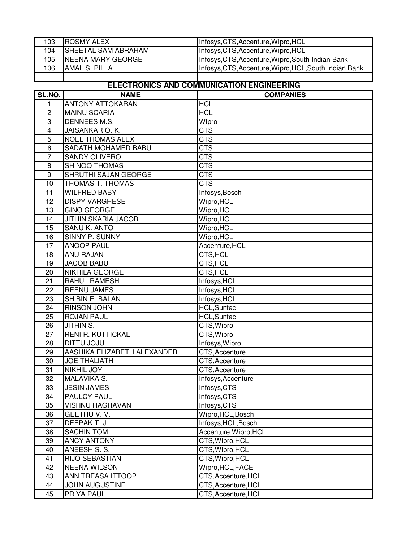| 103 | <b>IROSMY ALEX</b>         | Infosys, CTS, Accenture, Wipro, HCL                    |
|-----|----------------------------|--------------------------------------------------------|
| 104 | <b>SHEETAL SAM ABRAHAM</b> | Infosys, CTS, Accenture, Wipro, HCL                    |
| 105 | INEENA MARY GEORGE         | Infosys, CTS, Accenture, Wipro, South Indian Bank      |
| 106 | <b>JAMAL S. PILLA</b>      | Infosys, CTS, Accenture, Wipro, HCL, South Indian Bank |
|     |                            |                                                        |

## **ELECTRONICS AND COMMUNICATION ENGINEERING**

| <b>ANTONY ATTOKARAN</b><br><b>HCL</b><br>1<br><b>HCL</b><br>$\overline{c}$<br><b>MAINU SCARIA</b> |  |
|---------------------------------------------------------------------------------------------------|--|
|                                                                                                   |  |
|                                                                                                   |  |
| DENNEES M.S.<br>3<br>Wipro                                                                        |  |
| JAISANKAR O. K.<br>$\overline{4}$<br>CTS                                                          |  |
| <b>CTS</b><br>5<br><b>NOEL THOMAS ALEX</b>                                                        |  |
| <b>CTS</b><br>6<br>SADATH MOHAMED BABU                                                            |  |
| $\overline{7}$<br><b>CTS</b><br><b>SANDY OLIVERO</b>                                              |  |
| <b>CTS</b><br>SHINOO THOMAS<br>8                                                                  |  |
| 9<br>SHRUTHI SAJAN GEORGE<br><b>CTS</b>                                                           |  |
| THOMAS T. THOMAS<br><b>CTS</b><br>10                                                              |  |
| 11<br><b>WILFRED BABY</b><br>Infosys, Bosch                                                       |  |
| <b>DISPY VARGHESE</b><br>Wipro, HCL<br>12                                                         |  |
| Wipro, HCL<br>13<br><b>GINO GEORGE</b>                                                            |  |
| Wipro, HCL<br>14<br><b>JITHIN SKARIA JACOB</b>                                                    |  |
| <b>SANU K. ANTO</b><br>Wipro, HCL<br>15                                                           |  |
| SINNY P. SUNNY<br>16<br>Wipro, HCL                                                                |  |
| 17<br><b>ANOOP PAUL</b><br>Accenture, HCL                                                         |  |
| <b>ANU RAJAN</b><br>CTS, HCL<br>18                                                                |  |
| 19<br><b>JACOB BABU</b><br>CTS, HCL                                                               |  |
| 20<br>NIKHILA GEORGE<br>CTS, HCL                                                                  |  |
| 21<br>RAHUL RAMESH<br>Infosys, HCL                                                                |  |
| 22<br><b>REENU JAMES</b><br>Infosys, HCL                                                          |  |
| 23<br>SHIBIN E. BALAN<br>Infosys, HCL                                                             |  |
| RINSON JOHN<br><b>HCL,Suntec</b><br>24                                                            |  |
| 25<br><b>ROJAN PAUL</b><br><b>HCL,Suntec</b>                                                      |  |
| 26<br>JITHIN S.<br>CTS, Wipro                                                                     |  |
| 27<br><b>RENI R. KUTTICKAL</b><br>CTS, Wipro                                                      |  |
| <b>DITTU JOJU</b><br>Infosys, Wipro<br>28                                                         |  |
| AASHIKA ELIZABETH ALEXANDER<br>29<br>CTS, Accenture                                               |  |
| 30<br><b>JOE THALIATH</b><br>CTS, Accenture                                                       |  |
| 31<br><b>NIKHIL JOY</b><br>CTS, Accenture                                                         |  |
| 32<br>MALAVIKA S.<br>Infosys, Accenture                                                           |  |
| 33<br>Infosys, CTS<br><b>JESIN JAMES</b>                                                          |  |
| 34<br><b>PAULCY PAUL</b><br>Infosys, CTS                                                          |  |
| <b>VISHNU RAGHAVAN</b><br>35<br>Infosys, CTS                                                      |  |
| 36<br>GEETHU V.V.<br>Wipro, HCL, Bosch                                                            |  |
| Infosys, HCL, Bosch<br>37<br>DEEPAK T. J.                                                         |  |
| 38<br><b>SACHIN TOM</b><br>Accenture, Wipro, HCL                                                  |  |
| 39<br><b>ANCY ANTONY</b><br>CTS, Wipro, HCL                                                       |  |
| CTS, Wipro, HCL<br>ANEESH S. S.<br>40                                                             |  |
| 41<br>RIJO SEBASTIAN<br>CTS, Wipro, HCL                                                           |  |
| <b>NEENA WILSON</b><br>42<br>Wipro, HCL, FACE                                                     |  |
| 43<br>ANN TREASA ITTOOP<br>CTS, Accenture, HCL                                                    |  |
| 44<br>JOHN AUGUSTINE<br>CTS, Accenture, HCL                                                       |  |
| 45<br>PRIYA PAUL<br>CTS, Accenture, HCL                                                           |  |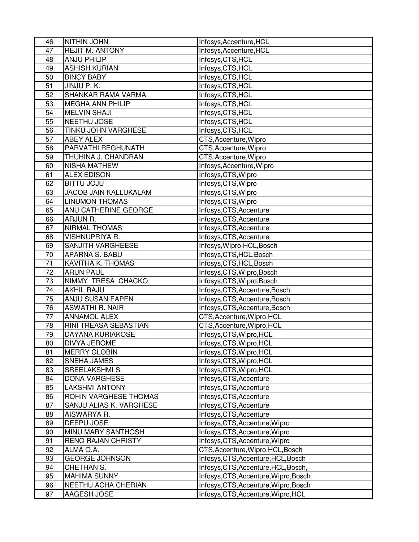| 46 | <b>NITHIN JOHN</b>        | Infosys, Accenture, HCL               |
|----|---------------------------|---------------------------------------|
| 47 | <b>REJIT M. ANTONY</b>    | Infosys, Accenture, HCL               |
| 48 | <b>ANJU PHILIP</b>        | Infosys, CTS, HCL                     |
| 49 | <b>ASHISH KURIAN</b>      | Infosys, CTS, HCL                     |
| 50 | <b>BINCY BABY</b>         | Infosys, CTS, HCL                     |
| 51 | JINJU P.K.                | Infosys, CTS, HCL                     |
| 52 | SHANKAR RAMA VARMA        | Infosys, CTS, HCL                     |
| 53 | <b>MEGHA ANN PHILIP</b>   | Infosys, CTS, HCL                     |
| 54 | <b>MELVIN SHAJI</b>       | Infosys, CTS, HCL                     |
| 55 | NEETHU JOSE               | Infosys, CTS, HCL                     |
| 56 | TINKU JOHN VARGHESE       | Infosys, CTS, HCL                     |
| 57 | <b>ABEY ALEX</b>          | CTS, Accenture, Wipro                 |
| 58 | PARVATHI REGHUNATH        | CTS, Accenture, Wipro                 |
| 59 | THUHINA J. CHANDRAN       | CTS, Accenture, Wipro                 |
| 60 | NISHA MATHEW              | Infosys, Accenture, Wipro             |
| 61 | <b>ALEX EDISON</b>        | Infosys, CTS, Wipro                   |
| 62 | <b>BITTU JOJU</b>         | Infosys, CTS, Wipro                   |
| 63 | JACOB JAIN KALLUKALAM     | Infosys, CTS, Wipro                   |
| 64 | <b>LINUMON THOMAS</b>     | Infosys, CTS, Wipro                   |
| 65 | ANU CATHERINE GEORGE      | Infosys, CTS, Accenture               |
| 66 | ARJUN R.                  | Infosys, CTS, Accenture               |
| 67 | <b>NIRMAL THOMAS</b>      | Infosys, CTS, Accenture               |
| 68 | <b>VISHNUPRIYA R.</b>     | Infosys, CTS, Accenture               |
| 69 | SANJITH VARGHEESE         | Infosys, Wipro, HCL, Bosch            |
| 70 | <b>APARNA S. BABU</b>     | Infosys, CTS, HCL, Bosch              |
| 71 | <b>KAVITHA K. THOMAS</b>  | Infosys, CTS, HCL, Bosch              |
| 72 | <b>ARUN PAUL</b>          | Infosys, CTS, Wipro, Bosch            |
| 73 | NIMMY TRESA CHACKO        | Infosys, CTS, Wipro, Bosch            |
| 74 | <b>AKHIL RAJU</b>         | Infosys, CTS, Accenture, Bosch        |
| 75 | <b>ANJU SUSAN EAPEN</b>   | Infosys, CTS, Accenture, Bosch        |
| 76 | <b>ASWATHI R. NAIR</b>    | Infosys, CTS, Accenture, Bosch        |
| 77 | <b>ANNAMOL ALEX</b>       | CTS, Accenture, Wipro, HCL            |
| 78 | RINI TREASA SEBASTIAN     | CTS, Accenture, Wipro, HCL            |
| 79 | DAYANA KURIAKOSE          | Infosys, CTS, Wipro, HCL              |
| 80 | <b>DIVYA JEROME</b>       | Infosys, CTS, Wipro, HCL              |
| 81 | <b>MERRY GLOBIN</b>       | Infosys, CTS, Wipro, HCL              |
| 82 | SNEHA JAMES               | Infosys, CTS, Wipro, HCL              |
| 83 | SREELAKSHMI S.            | Infosys, CTS, Wipro, HCL              |
| 84 | <b>DONA VARGHESE</b>      | Infosys, CTS, Accenture               |
| 85 | <b>LAKSHMI ANTONY</b>     | Infosys, CTS, Accenture               |
| 86 | ROHIN VARGHESE THOMAS     | Infosys, CTS, Accenture               |
| 87 | SANJU ALIAS K. VARGHESE   | Infosys, CTS, Accenture               |
| 88 | AISWARYA R.               | Infosys, CTS, Accenture               |
| 89 | DEEPU JOSE                | Infosys, CTS, Accenture, Wipro        |
| 90 | MINU MARY SANTHOSH        | Infosys, CTS, Accenture, Wipro        |
| 91 | <b>RENO RAJAN CHRISTY</b> | Infosys, CTS, Accenture, Wipro        |
| 92 | ALMA O.A.                 | CTS, Accenture, Wipro, HCL, Bosch     |
| 93 | <b>GEORGE JOHNSON</b>     | Infosys, CTS, Accenture, HCL, Bosch   |
| 94 | CHETHAN S.                | Infosys, CTS, Accenture, HCL, Bosch,  |
| 95 | <b>MAHIMA SUNNY</b>       | Infosys, CTS, Accenture, Wipro, Bosch |
| 96 | NEETHU ACHA CHERIAN       | Infosys, CTS, Accenture, Wipro, Bosch |
| 97 | AAGESH JOSE               | Infosys, CTS, Accenture, Wipro, HCL   |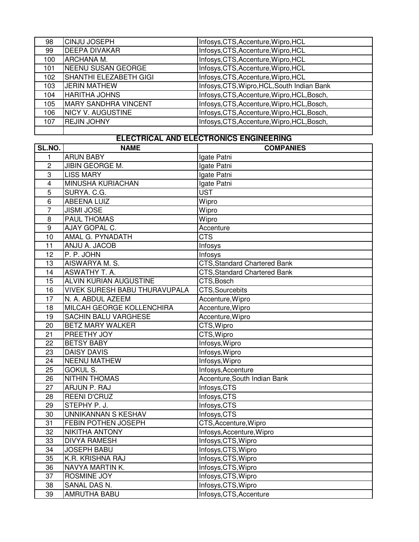| 98  | <b>CINJU JOSEPH</b>           | Infosys, CTS, Accenture, Wipro, HCL         |
|-----|-------------------------------|---------------------------------------------|
| 99  | <b>DEEPA DIVAKAR</b>          | Infosys, CTS, Accenture, Wipro, HCL         |
| 100 | ARCHANA M.                    | Infosys, CTS, Accenture, Wipro, HCL         |
| 101 | NEENU SUSAN GEORGE            | Infosys, CTS, Accenture, Wipro, HCL         |
| 102 | <b>SHANTHI ELEZABETH GIGI</b> | Infosys, CTS, Accenture, Wipro, HCL         |
| 103 | <b>JERIN MATHEW</b>           | Infosys, CTS, Wipro, HCL, South Indian Bank |
| 104 | <b>HARITHA JOHNS</b>          | Infosys, CTS, Accenture, Wipro, HCL, Bosch, |
| 105 | <b>MARY SANDHRA VINCENT</b>   | Infosys, CTS, Accenture, Wipro, HCL, Bosch, |
| 106 | <b>NICY V. AUGUSTINE</b>      | Infosys, CTS, Accenture, Wipro, HCL, Bosch, |
| 107 | <b>REJIN JOHNY</b>            | Infosys, CTS, Accenture, Wipro, HCL, Bosch, |
|     |                               |                                             |

# **ELECTRICAL AND ELECTRONICS ENGINEERING**

| SL.NO.          | <b>NAME</b>                          | <b>COMPANIES</b>                    |
|-----------------|--------------------------------------|-------------------------------------|
| $\mathbf{1}$    | <b>ARUN BABY</b>                     | Igate Patni                         |
| $\overline{2}$  | JIBIN GEORGE M.                      | Igate Patni                         |
| $\overline{3}$  | <b>LISS MARY</b>                     | Igate Patni                         |
| $\overline{4}$  | <b>MINUSHA KURIACHAN</b>             | Igate Patni                         |
| 5               | SURYA. C.G.                          | <b>UST</b>                          |
| 6               | <b>ABEENA LUIZ</b>                   | Wipro                               |
| $\overline{7}$  | <b>JISMI JOSE</b>                    | Wipro                               |
| $\overline{8}$  | <b>PAUL THOMAS</b>                   | Wipro                               |
| $\overline{9}$  | AJAY GOPAL C.                        | Accenture                           |
| 10              | AMAL G. PYNADATH                     | <b>CTS</b>                          |
| $\overline{11}$ | ANJU A. JACOB                        | Infosys                             |
| 12              | P. P. JOHN                           | Infosys                             |
| 13              | AISWARYA M. S.                       | <b>CTS, Standard Chartered Bank</b> |
| 14              | <b>ASWATHY T. A.</b>                 | <b>CTS, Standard Chartered Bank</b> |
| 15              | ALVIN KURIAN AUGUSTINE               | CTS, Bosch                          |
| 16              | <b>VIVEK SURESH BABU THURAVUPALA</b> | CTS, Sourcebits                     |
| 17              | N. A. ABDUL AZEEM                    | Accenture, Wipro                    |
| 18              | MILCAH GEORGE KOLLENCHIRA            | Accenture, Wipro                    |
| 19              | <b>SACHIN BALU VARGHESE</b>          | Accenture, Wipro                    |
| 20              | <b>BETZ MARY WALKER</b>              | CTS, Wipro                          |
| 21              | PREETHY JOY                          | CTS, Wipro                          |
| 22              | <b>BETSY BABY</b>                    | Infosys, Wipro                      |
| 23              | <b>DAISY DAVIS</b>                   | Infosys, Wipro                      |
| $\overline{24}$ | <b>NEENU MATHEW</b>                  | Infosys, Wipro                      |
| 25              | <b>GOKUL S.</b>                      | Infosys, Accenture                  |
| 26              | <b>NITHIN THOMAS</b>                 | Accenture, South Indian Bank        |
| $\overline{27}$ | ARJUN P. RAJ                         | Infosys, CTS                        |
| 28              | <b>REENI D'CRUZ</b>                  | Infosys, CTS                        |
| 29              | STEPHY P. J.                         | Infosys, CTS                        |
| 30              | UNNIKANNAN S KESHAV                  | Infosys, CTS                        |
| 31              | FEBIN POTHEN JOSEPH                  | CTS, Accenture, Wipro               |
| 32              | NIKITHA ANTONY                       | Infosys, Accenture, Wipro           |
| 33              | <b>DIVYA RAMESH</b>                  | Infosys, CTS, Wipro                 |
| 34              | <b>JOSEPH BABU</b>                   | Infosys, CTS, Wipro                 |
| 35              | K.R. KRISHNA RAJ                     | Infosys, CTS, Wipro                 |
| 36              | NAVYA MARTIN K.                      | Infosys, CTS, Wipro                 |
| 37              | ROSMINE JOY                          | Infosys, CTS, Wipro                 |
| 38              | SANAL DAS N.                         | Infosys, CTS, Wipro                 |
| 39              | <b>AMRUTHA BABU</b>                  | Infosys, CTS, Accenture             |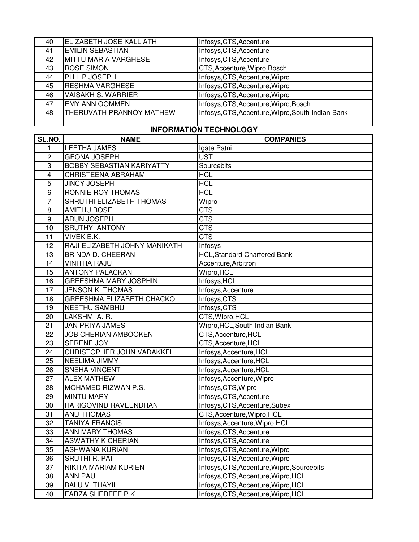| 40 | ELIZABETH JOSE KALLIATH   | Infosys, CTS, Accenture                           |
|----|---------------------------|---------------------------------------------------|
| 41 | <b>EMILIN SEBASTIAN</b>   | Infosys, CTS, Accenture                           |
| 42 | MITTU MARIA VARGHESE      | Infosys, CTS, Accenture                           |
| 43 | <b>ROSE SIMON</b>         | CTS, Accenture, Wipro, Bosch                      |
| 44 | PHILIP JOSEPH             | Infosys, CTS, Accenture, Wipro                    |
| 45 | <b>RESHMA VARGHESE</b>    | Infosys, CTS, Accenture, Wipro                    |
| 46 | <b>VAISAKH S. WARRIER</b> | Infosys, CTS, Accenture, Wipro                    |
| 47 | <b>EMY ANN OOMMEN</b>     | Infosys, CTS, Accenture, Wipro, Bosch             |
| 48 | THERUVATH PRANNOY MATHEW  | Infosys, CTS, Accenture, Wipro, South Indian Bank |
|    |                           |                                                   |

#### **INFORMATION TECHNOLOGY**

| SL.NO.           | <b>NAME</b>                      | <b>COMPANIES</b>                           |
|------------------|----------------------------------|--------------------------------------------|
| 1                | <b>LEETHA JAMES</b>              | Igate Patni                                |
| $\overline{c}$   | <b>GEONA JOSEPH</b>              | <b>UST</b>                                 |
| 3                | <b>BOBBY SEBASTIAN KARIYATTY</b> | Sourcebits                                 |
| $\overline{4}$   | CHRISTEENA ABRAHAM               | <b>HCL</b>                                 |
| 5                | <b>JINCY JOSEPH</b>              | <b>HCL</b>                                 |
| 6                | RONNIE ROY THOMAS                | <b>HCL</b>                                 |
| $\overline{7}$   | SHRUTHI ELIZABETH THOMAS         | Wipro                                      |
| 8                | <b>AMITHU BOSE</b>               | <b>CTS</b>                                 |
| $\boldsymbol{9}$ | <b>ARUN JOSEPH</b>               | <b>CTS</b>                                 |
| 10               | <b>SRUTHY ANTONY</b>             | <b>CTS</b>                                 |
| 11               | <b>VIVEK E.K.</b>                | <b>CTS</b>                                 |
| 12               | RAJI ELIZABETH JOHNY MANIKATH    | Infosys                                    |
| 13               | <b>BRINDA D. CHEERAN</b>         | <b>HCL, Standard Chartered Bank</b>        |
| 14               | <b>VINITHA RAJU</b>              | Accenture, Arbitron                        |
| 15               | <b>ANTONY PALACKAN</b>           | Wipro, HCL                                 |
| 16               | <b>GREESHMA MARY JOSPHIN</b>     | Infosys, HCL                               |
| 17               | <b>JENSON K. THOMAS</b>          | Infosys, Accenture                         |
| 18               | GREESHMA ELIZABETH CHACKO        | Infosys, CTS                               |
| 19               | <b>NEETHU SAMBHU</b>             | Infosys, CTS                               |
| 20               | LAKSHMI A. R.                    | CTS, Wipro, HCL                            |
| 21               | <b>JAN PRIYA JAMES</b>           | Wipro, HCL, South Indian Bank              |
| 22               | <b>JOB CHERIAN AMBOOKEN</b>      | CTS, Accenture, HCL                        |
| 23               | <b>SERENE JOY</b>                | CTS, Accenture, HCL                        |
| 24               | CHRISTOPHER JOHN VADAKKEL        | Infosys, Accenture, HCL                    |
| 25               | NEELIMA JIMMY                    | Infosys, Accenture, HCL                    |
| 26               | <b>SNEHA VINCENT</b>             | Infosys, Accenture, HCL                    |
| 27               | <b>ALEX MATHEW</b>               | Infosys, Accenture, Wipro                  |
| 28               | MOHAMED RIZWAN P.S.              | Infosys, CTS, Wipro                        |
| 29               | <b>MINTU MARY</b>                | Infosys, CTS, Accenture                    |
| 30               | HARIGOVIND RAVEENDRAN            | Infosys, CTS, Accenture, Subex             |
| 31               | <b>ANU THOMAS</b>                | CTS, Accenture, Wipro, HCL                 |
| 32               | <b>TANIYA FRANCIS</b>            | Infosys, Accenture, Wipro, HCL             |
| 33               | ANN MARY THOMAS                  | Infosys, CTS, Accenture                    |
| 34               | <b>ASWATHY K CHERIAN</b>         | Infosys, CTS, Accenture                    |
| 35               | ASHWANA KURIAN                   | Infosys, CTS, Accenture, Wipro             |
| 36               | <b>SRUTHI R. PAI</b>             | Infosys, CTS, Accenture, Wipro             |
| 37               | <b>NIKITA MARIAM KURIEN</b>      | Infosys, CTS, Accenture, Wipro, Sourcebits |
| 38               | <b>ANN PAUL</b>                  | Infosys, CTS, Accenture, Wipro, HCL        |
| 39               | <b>BALU V. THAYIL</b>            | Infosys, CTS, Accenture, Wipro, HCL        |
| 40               | FARZA SHEREEF P.K.               | Infosys, CTS, Accenture, Wipro, HCL        |